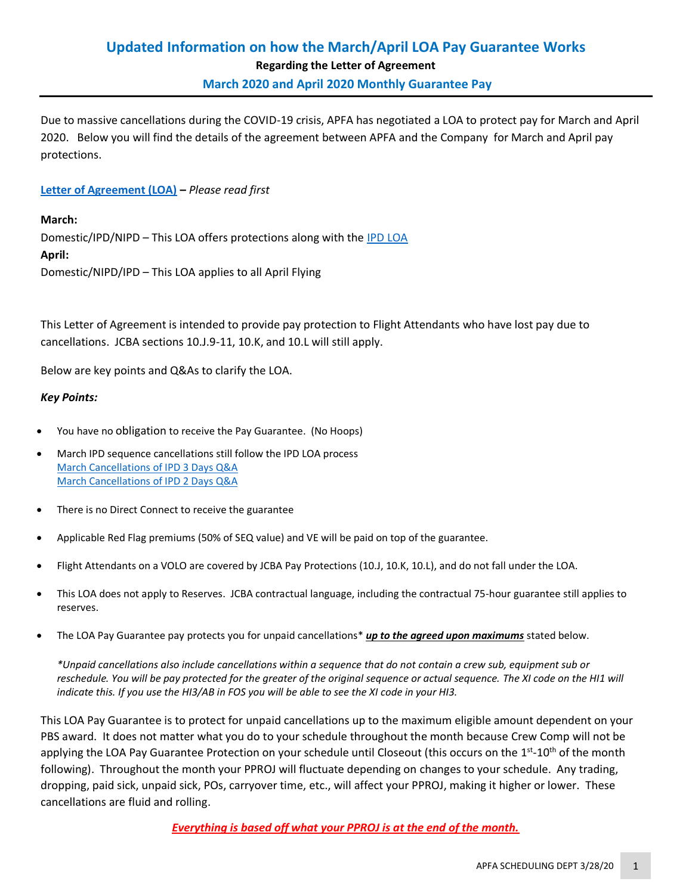# **Updated Information on how the March/April LOA Pay Guarantee Works Regarding the Letter of Agreement**

**March 2020 and April 2020 Monthly Guarantee Pay** 

Due to massive cancellations during the COVID-19 crisis, APFA has negotiated a LOA to protect pay for March and April 2020. Below you will find the details of the agreement between APFA and the Company for March and April pay protections.

## **[Letter of Agreement \(LOA\)](https://www.apfa.org/wp-content/uploads/2020/03/March-April-2020-Pay-Protection-FINAL-3.24.2020.pdf) –** *Please read first*

**March:** Domestic/IPD/NIPD – This LOA offers protections along with the [IPD LOA](https://www.apfa.org/wp-content/uploads/2020/03/2020-Pay-Protection-Exception-for-International-Sequence-Cancellations-for-March-2020.pdf) **April:** Domestic/NIPD/IPD – This LOA applies to all April Flying

This Letter of Agreement is intended to provide pay protection to Flight Attendants who have lost pay due to cancellations. JCBA sections 10.J.9-11, 10.K, and 10.L will still apply.

Below are key points and Q&As to clarify the LOA.

## *Key Points:*

- You have no obligation to receive the Pay Guarantee. (No Hoops)
- March IPD sequence cancellations still follow the IPD LOA process [March Cancellations](https://www.apfa.org/wp-content/uploads/2020/03/LOA-QA-for-March-IPD-Cxls-V.2.pdf) of IPD 3 Days Q&A [March Cancellations of IPD 2 Days Q&A](https://www.apfa.org/wp-content/uploads/2020/03/LGA-and-ORD-Updated-LOA-QandA-for-March-IPD-Cxls-V1.pdf)
- There is no Direct Connect to receive the guarantee
- Applicable Red Flag premiums (50% of SEQ value) and VE will be paid on top of the guarantee.
- Flight Attendants on a VOLO are covered by JCBA Pay Protections (10.J, 10.K, 10.L), and do not fall under the LOA.
- This LOA does not apply to Reserves. JCBA contractual language, including the contractual 75-hour guarantee still applies to reserves.
- The LOA Pay Guarantee pay protects you for unpaid cancellations\* *up to the agreed upon maximums* stated below.

*\*Unpaid cancellations also include cancellations within a sequence that do not contain a crew sub, equipment sub or reschedule. You will be pay protected for the greater of the original sequence or actual sequence. The XI code on the HI1 will indicate this. If you use the HI3/AB in FOS you will be able to see the XI code in your HI3.*

This LOA Pay Guarantee is to protect for unpaid cancellations up to the maximum eligible amount dependent on your PBS award. It does not matter what you do to your schedule throughout the month because Crew Comp will not be applying the LOA Pay Guarantee Protection on your schedule until Closeout (this occurs on the 1<sup>st</sup>-10<sup>th</sup> of the month following). Throughout the month your PPROJ will fluctuate depending on changes to your schedule. Any trading, dropping, paid sick, unpaid sick, POs, carryover time, etc., will affect your PPROJ, making it higher or lower. These cancellations are fluid and rolling.

*Everything is based off what your PPROJ is at the end of the month.*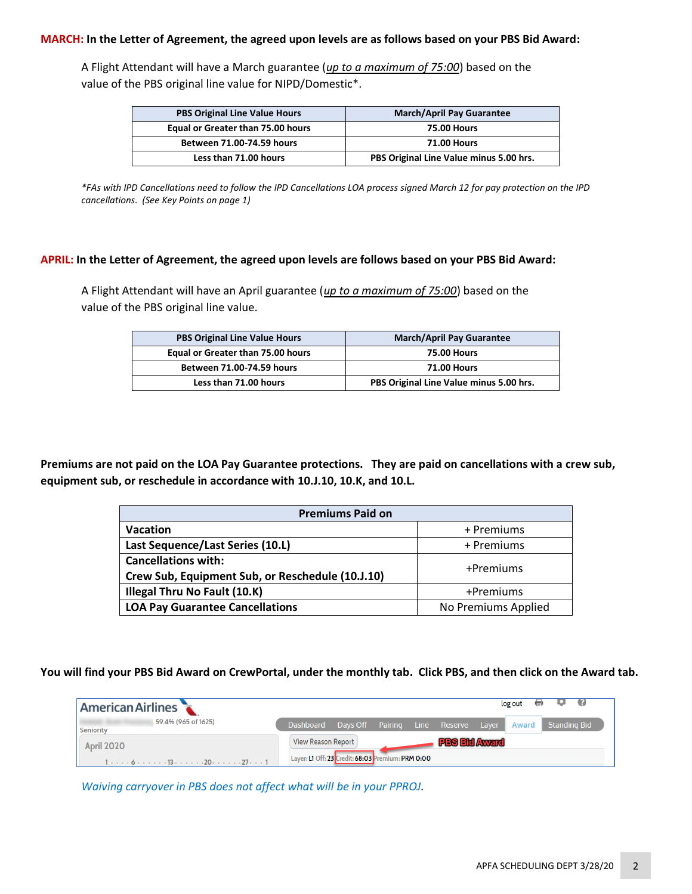#### **MARCH: In the Letter of Agreement, the agreed upon levels are as follows based on your PBS Bid Award:**

A Flight Attendant will have a March guarantee (*up to a maximum of 75:00*) based on the value of the PBS original line value for NIPD/Domestic\*.

| <b>PBS Original Line Value Hours</b> | <b>March/April Pay Guarantee</b>        |
|--------------------------------------|-----------------------------------------|
| Equal or Greater than 75.00 hours    | <b>75.00 Hours</b>                      |
| Between 71.00-74.59 hours            | <b>71.00 Hours</b>                      |
| Less than 71.00 hours                | PBS Original Line Value minus 5.00 hrs. |

*\*FAs with IPD Cancellations need to follow the IPD Cancellations LOA process signed March 12 for pay protection on the IPD cancellations. (See Key Points on page 1)*

#### **APRIL: In the Letter of Agreement, the agreed upon levels are follows based on your PBS Bid Award:**

A Flight Attendant will have an April guarantee (*up to a maximum of 75:00*) based on the value of the PBS original line value.

| <b>PBS Original Line Value Hours</b> | <b>March/April Pay Guarantee</b>        |
|--------------------------------------|-----------------------------------------|
| Equal or Greater than 75.00 hours    | <b>75.00 Hours</b>                      |
| Between 71.00-74.59 hours            | <b>71.00 Hours</b>                      |
| Less than 71.00 hours                | PBS Original Line Value minus 5.00 hrs. |

**Premiums are not paid on the LOA Pay Guarantee protections. They are paid on cancellations with a crew sub, equipment sub, or reschedule in accordance with 10.J.10, 10.K, and 10.L.**

| <b>Premiums Paid on</b>                                                        |                     |  |  |
|--------------------------------------------------------------------------------|---------------------|--|--|
| <b>Vacation</b>                                                                | + Premiums          |  |  |
| Last Sequence/Last Series (10.L)                                               | + Premiums          |  |  |
| <b>Cancellations with:</b><br>Crew Sub, Equipment Sub, or Reschedule (10.J.10) | +Premiums           |  |  |
| Illegal Thru No Fault (10.K)                                                   | +Premiums           |  |  |
| <b>LOA Pay Guarantee Cancellations</b>                                         | No Premiums Applied |  |  |

**You will find your PBS Bid Award on CrewPortal, under the monthly tab. Click PBS, and then click on the Award tab.**

| log out<br>- 41<br>$\left( \frac{1}{2} \right)$<br><b>American Airlines</b> |                                                                                                                                                |                                                               |                                     |  |             |                      |  |                           |
|-----------------------------------------------------------------------------|------------------------------------------------------------------------------------------------------------------------------------------------|---------------------------------------------------------------|-------------------------------------|--|-------------|----------------------|--|---------------------------|
| <b>Seniority</b>                                                            | 59.4% (965 of 1625)                                                                                                                            | Dashboard                                                     | Days Off Pairing Line Reserve Layer |  |             |                      |  | <b>Award</b> Standing Bid |
| <b>April 2020</b>                                                           |                                                                                                                                                | View Reason Report<br>Layer: L1 Off: 23 Credit: 68:03 Premium |                                     |  | n: PRM 0:00 | <b>PBS Bid Award</b> |  |                           |
|                                                                             | $1 \cdot \cdot \cdot \cdot 6 \cdot \cdot \cdot \cdot \cdot 13 \cdot \cdot \cdot \cdot \cdot 20 \cdot \cdot \cdot \cdot 27 \cdot \cdot \cdot 1$ |                                                               |                                     |  |             |                      |  |                           |

*Waiving carryover in PBS does not affect what will be in your PPROJ.*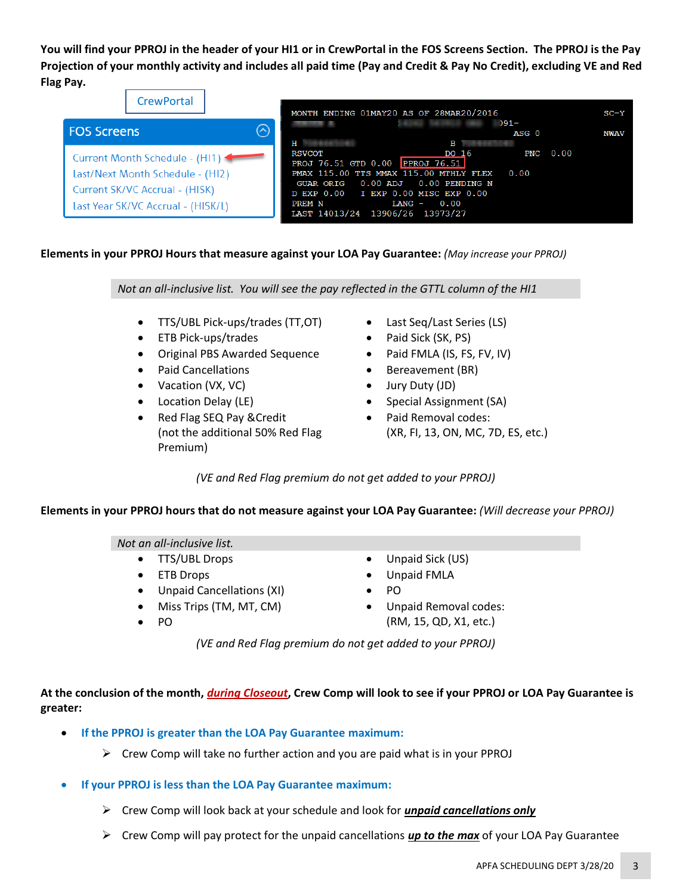**You will find your PPROJ in the header of your HI1 or in CrewPortal in the FOS Screens Section. The PPROJ is the Pay Projection of your monthly activity and includes all paid time (Pay and Credit & Pay No Credit), excluding VE and Red Flag Pay.**

| <b>CrewPortal</b>                                                                                                                            | MONTH ENDING 01MAY20 AS OF 28MAR20/2016                                                                                                                                                                                                                                                     | $SC-Y$      |
|----------------------------------------------------------------------------------------------------------------------------------------------|---------------------------------------------------------------------------------------------------------------------------------------------------------------------------------------------------------------------------------------------------------------------------------------------|-------------|
| ര<br><b>FOS Screens</b>                                                                                                                      | $91 -$<br>ASG 0<br>Н<br>$\mathbf{B}$                                                                                                                                                                                                                                                        | <b>NWAV</b> |
| Current Month Schedule - (HI1) 4<br>Last/Next Month Schedule - (HI2)<br>Current SK/VC Accrual - (HISK)<br>Last Year SK/VC Accrual - (HISK/L) | $PNC \t0.00$<br><b>RSVCOT</b><br>DO 16<br>PROJ 76.51 GTD 0.00 PPROJ 76.51<br>PMAX 115.00 TTS MMAX 115.00 MTHLY FLEX<br>0.00<br>$0.00$ ADJ $0.00$ PENDING N<br><b>GUAR ORIG</b><br>D EXP 0.00 I EXP 0.00 MISC EXP 0.00<br>0.00<br><b>PREM N</b><br>LANG -<br>LAST 14013/24 13906/26 13973/27 |             |

## **Elements in your PPROJ Hours that measure against your LOA Pay Guarantee:** *(May increase your PPROJ)*

*Not an all-inclusive list. You will see the pay reflected in the GTTL column of the HI1*

- TTS/UBL Pick-ups/trades (TT,OT)
- ETB Pick-ups/trades
- Original PBS Awarded Sequence
- Paid Cancellations
- Vacation (VX, VC)
- Location Delay (LE)
- Red Flag SEQ Pay &Credit (not the additional 50% Red Flag Premium)
- Last Seq/Last Series (LS)
- Paid Sick (SK, PS)
- Paid FMLA (IS, FS, FV, IV)
- Bereavement (BR)
- Jury Duty (JD)
- Special Assignment (SA)
- Paid Removal codes: (XR, FI, 13, ON, MC, 7D, ES, etc.)

*(VE and Red Flag premium do not get added to your PPROJ)*

#### **Elements in your PPROJ hours that do not measure against your LOA Pay Guarantee:** *(Will decrease your PPROJ)*

#### *Not an all-inclusive list.*

- TTS/UBL Drops
- ETB Drops
- Unpaid Cancellations (XI)
- Miss Trips (TM, MT, CM)
	- PO
- Unpaid Sick (US)
- Unpaid FMLA
- PO
- Unpaid Removal codes: (RM, 15, QD, X1, etc.)

*(VE and Red Flag premium do not get added to your PPROJ)*

**At the conclusion of the month,** *during Closeout***, Crew Comp will look to see if your PPROJ or LOA Pay Guarantee is greater:**

- **If the PPROJ is greater than the LOA Pay Guarantee maximum:**
	- $\triangleright$  Crew Comp will take no further action and you are paid what is in your PPROJ
- **If your PPROJ is less than the LOA Pay Guarantee maximum:**
	- ➢ Crew Comp will look back at your schedule and look for *unpaid cancellations only*
	- ➢ Crew Comp will pay protect for the unpaid cancellations *up to the max* of your LOA Pay Guarantee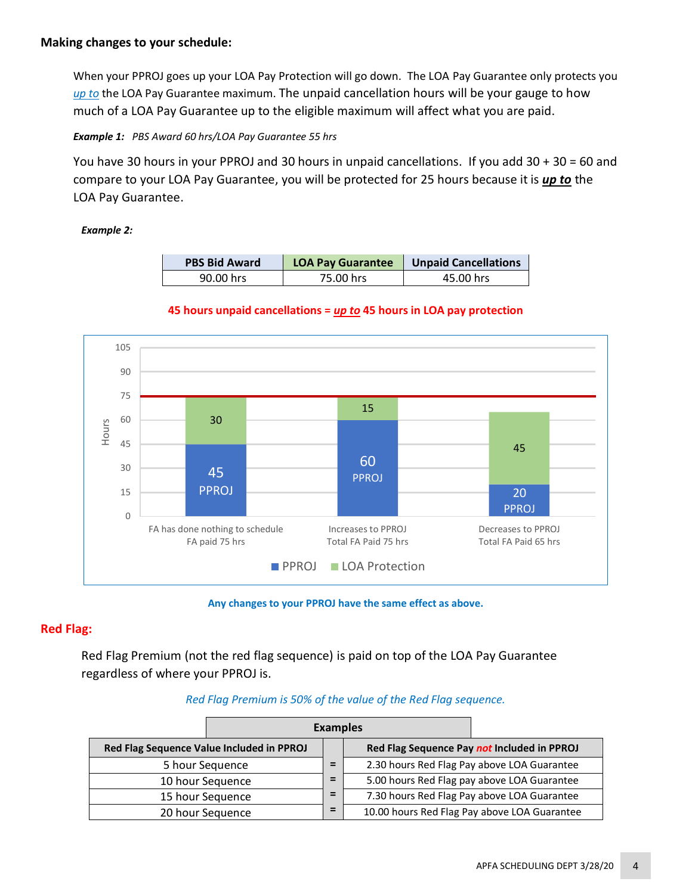When your PPROJ goes up your LOA Pay Protection will go down. The LOA Pay Guarantee only protects you *up to* the LOA Pay Guarantee maximum. The unpaid cancellation hours will be your gauge to how much of a LOA Pay Guarantee up to the eligible maximum will affect what you are paid.

*Example 1: PBS Award 60 hrs/LOA Pay Guarantee 55 hrs*

You have 30 hours in your PPROJ and 30 hours in unpaid cancellations. If you add 30 + 30 = 60 and compare to your LOA Pay Guarantee, you will be protected for 25 hours because it is *up to* the LOA Pay Guarantee.

## *Example 2:*

| <b>PBS Bid Award</b> | <b>LOA Pay Guarantee</b> | <b>Unpaid Cancellations</b> |
|----------------------|--------------------------|-----------------------------|
| 90.00 hrs            | 75.00 hrs                | 45.00 hrs                   |





**Any changes to your PPROJ have the same effect as above.**

## **Red Flag:**

Red Flag Premium (not the red flag sequence) is paid on top of the LOA Pay Guarantee regardless of where your PPROJ is.

## *Red Flag Premium is 50% of the value of the Red Flag sequence.*

| <b>Examples</b>                                                      |                       |                                             |  |                                              |
|----------------------------------------------------------------------|-----------------------|---------------------------------------------|--|----------------------------------------------|
| Red Flag Sequence Value Included in PPROJ                            |                       | Red Flag Sequence Pay not Included in PPROJ |  |                                              |
| 5 hour Sequence                                                      |                       | =                                           |  | 2.30 hours Red Flag Pay above LOA Guarantee  |
|                                                                      | 10 hour Sequence<br>= |                                             |  | 5.00 hours Red Flag pay above LOA Guarantee  |
| =<br>7.30 hours Red Flag Pay above LOA Guarantee<br>15 hour Sequence |                       |                                             |  |                                              |
| 20 hour Sequence                                                     |                       | =                                           |  | 10.00 hours Red Flag Pay above LOA Guarantee |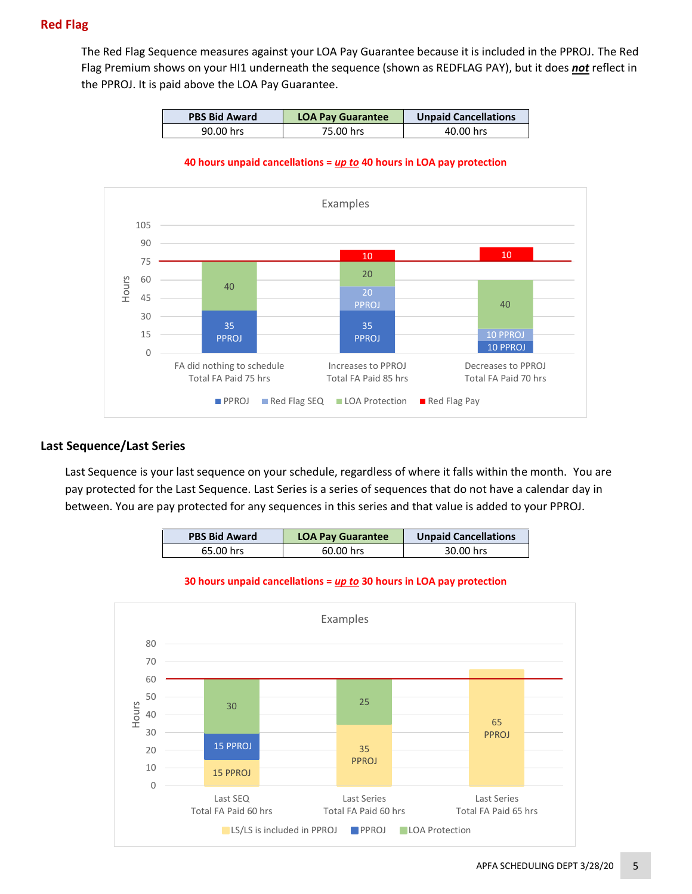## **Red Flag**

The Red Flag Sequence measures against your LOA Pay Guarantee because it is included in the PPROJ. The Red Flag Premium shows on your HI1 underneath the sequence (shown as REDFLAG PAY), but it does *not* reflect in the PPROJ. It is paid above the LOA Pay Guarantee.

| <b>PBS Bid Award</b> | <b>LOA Pay Guarantee</b> | <b>Unpaid Cancellations</b> |
|----------------------|--------------------------|-----------------------------|
| 90.00 hrs            | 75.00 hrs                | 40.00 hrs                   |

#### **40 hours unpaid cancellations =** *up to* **40 hours in LOA pay protection**



## **Last Sequence/Last Series**

Last Sequence is your last sequence on your schedule, regardless of where it falls within the month. You are pay protected for the Last Sequence. Last Series is a series of sequences that do not have a calendar day in between. You are pay protected for any sequences in this series and that value is added to your PPROJ.

| <b>PBS Bid Award</b> | <b>LOA Pay Guarantee</b> | <b>Unpaid Cancellations</b> |
|----------------------|--------------------------|-----------------------------|
| 65.00 hrs            | 60.00 hrs                | 30.00 hrs                   |



#### **30 hours unpaid cancellations =** *up to* **30 hours in LOA pay protection**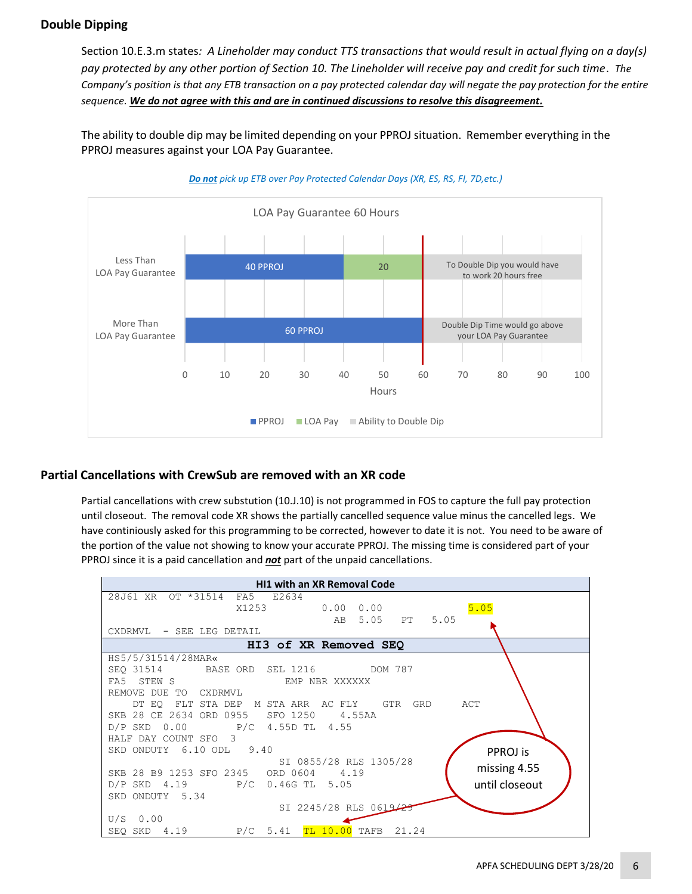## **Double Dipping**

Section 10.E.3.m states*: A Lineholder may conduct TTS transactions that would result in actual flying on a day(s) pay protected by any other portion of Section 10. The Lineholder will receive pay and credit for such time*. *The Company's position is that any ETB transaction on a pay protected calendar day will negate the pay protection for the entire sequence. We do not agree with this and are in continued discussions to resolve this disagreement.*

The ability to double dip may be limited depending on your PPROJ situation. Remember everything in the PPROJ measures against your LOA Pay Guarantee.





## **Partial Cancellations with CrewSub are removed with an XR code**

Partial cancellations with crew substution (10.J.10) is not programmed in FOS to capture the full pay protection until closeout. The removal code XR shows the partially cancelled sequence value minus the cancelled legs. We have continiously asked for this programming to be corrected, however to date it is not. You need to be aware of the portion of the value not showing to know your accurate PPROJ. The missing time is considered part of your PPROJ since it is a paid cancellation and *not* part of the unpaid cancellations.

| <b>HI1 with an XR Removal Code</b>                                |  |  |  |  |
|-------------------------------------------------------------------|--|--|--|--|
| 28J61 XR OT *31514 FA5 E2634                                      |  |  |  |  |
| 5.05<br>X1253<br>$0.00 \quad 0.00$                                |  |  |  |  |
| 5.05 PT 5.05<br>AB                                                |  |  |  |  |
| CXDRMVL - SEE LEG DETAIL                                          |  |  |  |  |
| HI3 of XR Removed SEO                                             |  |  |  |  |
| HS5/5/31514/28MAR«                                                |  |  |  |  |
| SEO 31514 BASE ORD SEL 1216 DOM 787                               |  |  |  |  |
| FA5 STEW S<br>EMP NBR XXXXXX                                      |  |  |  |  |
| REMOVE DUE TO CXDRMVL                                             |  |  |  |  |
| DT EO FLT STA DEP M STA ARR AC FLY GTR<br>GRD ACT                 |  |  |  |  |
| SKB 28 CE 2634 ORD 0955 SFO 1250<br>4.55AA                        |  |  |  |  |
| $D/P$ SKD 0.00 P/C 4.55D TL 4.55                                  |  |  |  |  |
| HALF DAY COUNT SFO 3                                              |  |  |  |  |
| SKD ONDUTY 6.10 ODL 9.40<br>PPROJ is                              |  |  |  |  |
| SI 0855/28 RLS 1305/28                                            |  |  |  |  |
| missing 4.55<br>SKB 28 B9 1253 SFO 2345 ORD 0604 4.19             |  |  |  |  |
| until closeout<br>D/P SKD 4.19 P/C 0.46G TL 5.05                  |  |  |  |  |
| SKD ONDUTY 5.34                                                   |  |  |  |  |
| SI 2245/28 RLS 0619/2                                             |  |  |  |  |
| $U/S$ 0.00                                                        |  |  |  |  |
| <mark>TL 10.00</mark> TAFB<br>$P/C$ 5.41<br>21.24<br>SEO SKD 4.19 |  |  |  |  |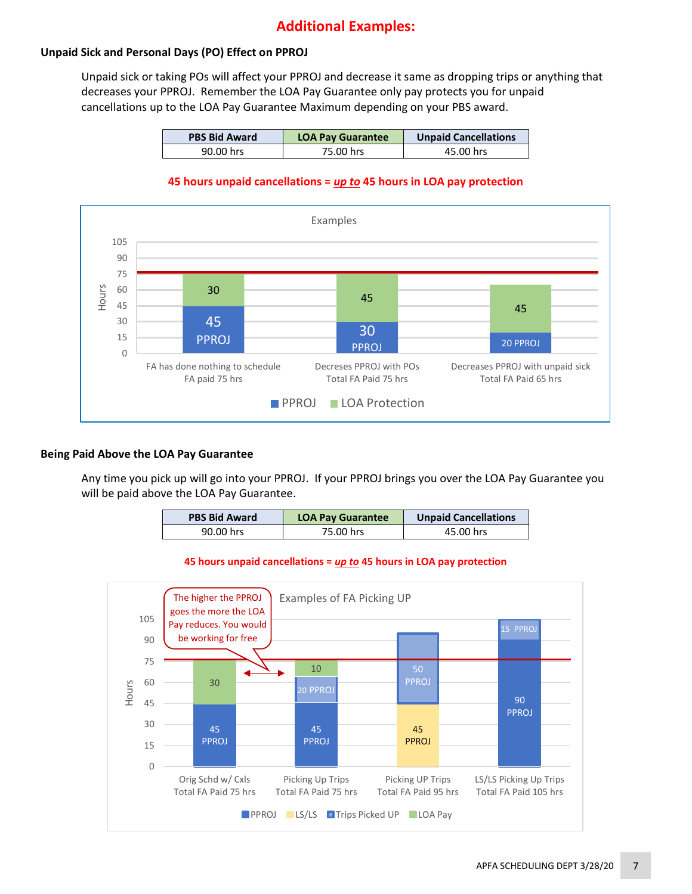## **Additional Examples:**

## **Unpaid Sick and Personal Days (PO) Effect on PPROJ**

Unpaid sick or taking POs will affect your PPROJ and decrease it same as dropping trips or anything that decreases your PPROJ. Remember the LOA Pay Guarantee only pay protects you for unpaid cancellations up to the LOA Pay Guarantee Maximum depending on your PBS award.

| <b>PBS Bid Award</b> | <b>LOA Pay Guarantee</b> | <b>Unpaid Cancellations</b> |
|----------------------|--------------------------|-----------------------------|
| 90.00 hrs            | 75.00 hrs                | 45.00 hrs                   |

#### **45 hours unpaid cancellations =** *up to* **45 hours in LOA pay protection**



#### **Being Paid Above the LOA Pay Guarantee**

Any time you pick up will go into your PPROJ. If your PPROJ brings you over the LOA Pay Guarantee you will be paid above the LOA Pay Guarantee.

| <b>PBS Bid Award</b> | <b>LOA Pay Guarantee</b> | <b>Unpaid Cancellations</b> |
|----------------------|--------------------------|-----------------------------|
| 90.00 hrs            | 75.00 hrs                | 45.00 hrs                   |

#### **45 hours unpaid cancellations =** *up to* **45 hours in LOA pay protection**